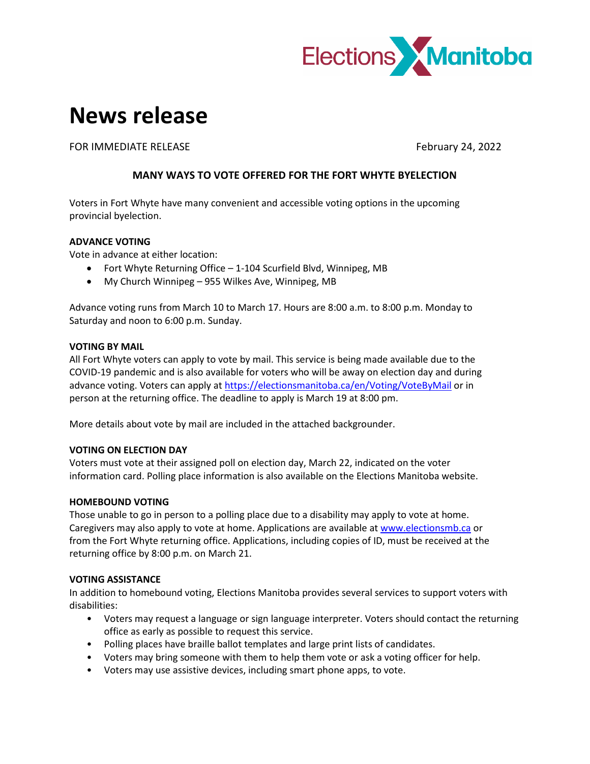

# **News release**

FOR IMMEDIATE RELEASE FOR IMMEDIATE RELEASE

## **MANY WAYS TO VOTE OFFERED FOR THE FORT WHYTE BYELECTION**

Voters in Fort Whyte have many convenient and accessible voting options in the upcoming provincial byelection.

### **ADVANCE VOTING**

Vote in advance at either location:

- Fort Whyte Returning Office 1-104 Scurfield Blvd, Winnipeg, MB
- My Church Winnipeg 955 Wilkes Ave, Winnipeg, MB

Advance voting runs from March 10 to March 17. Hours are 8:00 a.m. to 8:00 p.m. Monday to Saturday and noon to 6:00 p.m. Sunday.

### **VOTING BY MAIL**

All Fort Whyte voters can apply to vote by mail. This service is being made available due to the COVID-19 pandemic and is also available for voters who will be away on election day and during advance voting. Voters can apply at<https://electionsmanitoba.ca/en/Voting/VoteByMail> or in person at the returning office. The deadline to apply is March 19 at 8:00 pm.

More details about vote by mail are included in the attached backgrounder.

### **VOTING ON ELECTION DAY**

Voters must vote at their assigned poll on election day, March 22, indicated on the voter information card. Polling place information is also available on the Elections Manitoba website.

### **HOMEBOUND VOTING**

Those unable to go in person to a polling place due to a disability may apply to vote at home. Caregivers may also apply to vote at home. Applications are available at [www.electionsmb.ca](http://www.electionsmb.ca/) or from the Fort Whyte returning office. Applications, including copies of ID, must be received at the returning office by 8:00 p.m. on March 21.

### **VOTING ASSISTANCE**

In addition to homebound voting, Elections Manitoba provides several services to support voters with disabilities:

- Voters may request a language or sign language interpreter. Voters should contact the returning office as early as possible to request this service.
- Polling places have braille ballot templates and large print lists of candidates.
- Voters may bring someone with them to help them vote or ask a voting officer for help.
- Voters may use assistive devices, including smart phone apps, to vote.